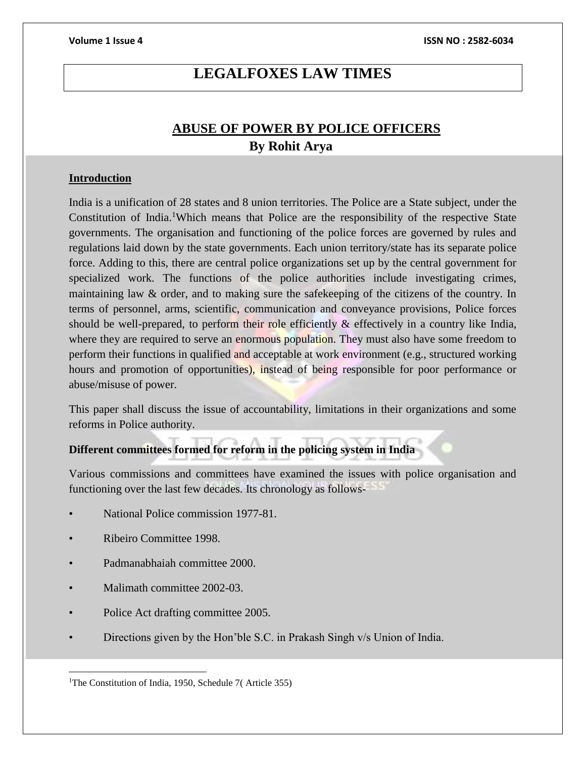# **LEGALFOXES LAW TIMES**

# **ABUSE OF POWER BY POLICE OFFICERS By Rohit Arya**

### **Introduction**

India is a unification of 28 states and 8 union territories. The Police are a State subject, under the Constitution of India.<sup>1</sup>Which means that Police are the responsibility of the respective State governments. The organisation and functioning of the police forces are governed by rules and regulations laid down by the state governments. Each union territory/state has its separate police force. Adding to this, there are central police organizations set up by the central government for specialized work. The functions of the police authorities include investigating crimes, maintaining law & order, and to making sure the safekeeping of the citizens of the country. In terms of personnel, arms, scientific, communication and conveyance provisions, Police forces should be well-prepared, to perform their role efficiently & effectively in a country like India, where they are required to serve an enormous population. They must also have some freedom to perform their functions in qualified and acceptable at work environment (e.g., structured working hours and promotion of opportunities), instead of being responsible for poor performance or abuse/misuse of power.

This paper shall discuss the issue of accountability, limitations in their organizations and some reforms in Police authority.

# **Different committees formed for reform in the policing system in India**

Various commissions and committees have examined the issues with police organisation and functioning over the last few decades. Its chronology as follows-

- National Police commission 1977-81.
- Ribeiro Committee 1998.

 $\overline{\phantom{a}}$ 

- Padmanabhaiah committee 2000.
- Malimath committee 2002-03.
- Police Act drafting committee 2005.
- Directions given by the Hon'ble S.C. in Prakash Singh v/s Union of India.

<sup>&</sup>lt;sup>1</sup>The Constitution of India, 1950, Schedule 7(Article 355)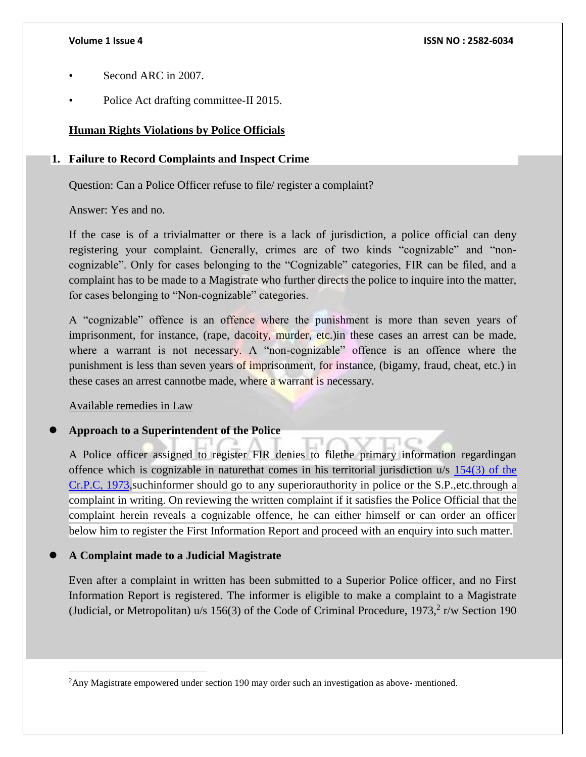- Second ARC in 2007.
- Police Act drafting committee-II 2015.

# **Human Rights Violations by Police Officials**

## **1. Failure to Record Complaints and Inspect Crime**

Question: Can a Police Officer refuse to file/ register a complaint?

Answer: Yes and no.

If the case is of a trivialmatter or there is a lack of jurisdiction, a police official can deny registering your complaint. Generally, crimes are of two kinds "cognizable" and "noncognizable". Only for cases belonging to the "Cognizable" categories, FIR can be filed, and a complaint has to be made to a Magistrate who further directs the police to inquire into the matter, for cases belonging to "Non-cognizable" categories.

A "cognizable" offence is an offence where the punishment is more than seven years of imprisonment, for instance, (rape, dacoity, murder, etc.) in these cases an arrest can be made, where a warrant is not necessary. A "non-cognizable" offence is an offence where the punishment is less than seven years of imprisonment, for instance, (bigamy, fraud, cheat, etc.) in these cases an arrest cannotbe made, where a warrant is necessary.

Available remedies in Law

 $\overline{\phantom{a}}$ 

## **Approach to a Superintendent of the Police**

A Police officer assigned to register FIR denies to filethe primary information regardingan offence which is cognizable in naturethat comes in his territorial jurisdiction u/s [154\(3\) of the](https://www.indiacode.nic.in/show-data?actid=AC_CEN_5_23_000010_197402_1517807320555§ionId=22543§ionno=154&orderno=177)  [Cr.P.C, 1973,](https://www.indiacode.nic.in/show-data?actid=AC_CEN_5_23_000010_197402_1517807320555§ionId=22543§ionno=154&orderno=177)suchinformer should go to any superiorauthority in police or the S.P.,etc.through a complaint in writing. On reviewing the written complaint if it satisfies the Police Official that the complaint herein reveals a cognizable offence, he can either himself or can order an officer below him to register the First Information Report and proceed with an enquiry into such matter.

## **A Complaint made to a Judicial Magistrate**

Even after a complaint in written has been submitted to a Superior Police officer, and no First Information Report is registered. The informer is eligible to make a complaint to a Magistrate (Judicial, or Metropolitan)  $u/s$  156(3) of the Code of Criminal Procedure, 1973,<sup>2</sup> r/w Section 190

<sup>&</sup>lt;sup>2</sup>Any Magistrate empowered under section 190 may order such an investigation as above- mentioned.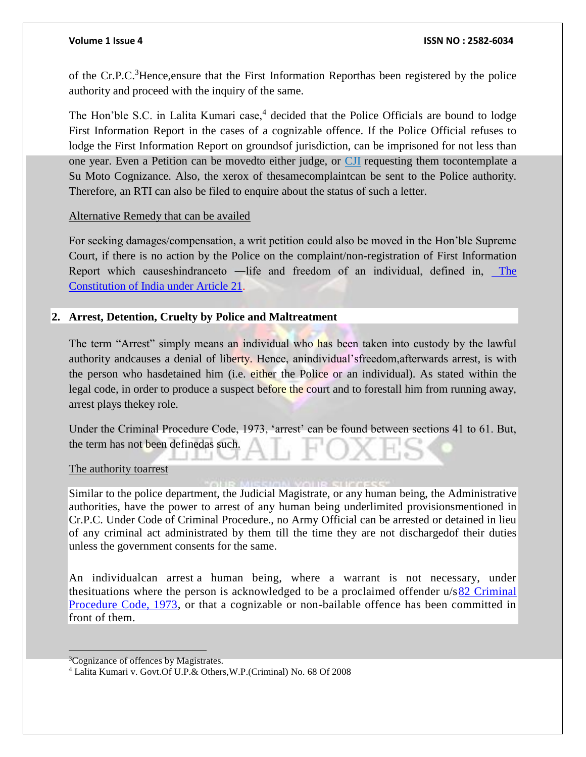### **Volume 1 Issue 4 ISSN NO : 2582-6034**

of the Cr.P.C.<sup>3</sup>Hence,ensure that the First Information Reporthas been registered by the police authority and proceed with the inquiry of the same.

The Hon'ble S.C. in Lalita Kumari case,<sup>4</sup> decided that the Police Officials are bound to lodge First Information Report in the cases of a cognizable offence. If the Police Official refuses to lodge the First Information Report on groundsof jurisdiction, can be imprisoned for not less than one year. Even a Petition can be movedto either judge, or [CJI](https://www.jagranjosh.com/general-knowledge/list-of-all-the-chief-justice-of-india-1467376149-1) requesting them tocontemplate a Su Moto Cognizance. Also, the xerox of thesamecomplaintcan be sent to the Police authority. Therefore, an RTI can also be filed to enquire about the status of such a letter.

## Alternative Remedy that can be availed

For seeking damages/compensation, a writ petition could also be moved in the Hon'ble Supreme Court, if there is no action by the Police on the complaint/non-registration of First Information Report which causeshindranceto —life and freedom of an individual, defined in, The [Constitution of India under Article 21.](https://www.constitutionofindia.net/constitution_of_india/fundamental_rights/articles/Article%2021)

## **2. Arrest, Detention, Cruelty by Police and Maltreatment**

The term "Arrest" simply means an individual who has been taken into custody by the lawful authority andcauses a denial of liberty. Hence, anindividual'sfreedom,afterwards arrest, is with the person who hasdetained him (i.e. either the Police or an individual). As stated within the legal code, in order to produce a suspect before the court and to forestall him from running away, arrest plays thekey role.

Under the Criminal Procedure Code, 1973, 'arrest' can be found between sections 41 to 61. But, the term has not been definedas such.

### The authority toarrest

Similar to the police department, the Judicial Magistrate, or any human being, the Administrative authorities, have the power to arrest of any human being underlimited provisionsmentioned in Cr.P.C. Under Code of Criminal Procedure., no Army Official can be arrested or detained in lieu of any criminal act administrated by them till the time they are not dischargedof their duties unless the government consents for the same.

An individualcan arrest a human being, where a warrant is not necessary, under thesituations where the person is acknowledged to be a proclaimed offender u/[s82 Criminal](https://www.indiacode.nic.in/show-data?actid=AC_CEN_5_23_000010_197402_1517807320555§ionId=22459§ionno=82&orderno=92)  [Procedure Code, 1973,](https://www.indiacode.nic.in/show-data?actid=AC_CEN_5_23_000010_197402_1517807320555§ionId=22459§ionno=82&orderno=92) or that a cognizable or non-bailable offence has been committed in front of them.

 $\overline{a}$ 

<sup>&</sup>lt;sup>3</sup>Cognizance of offences by Magistrates.

<sup>4</sup> Lalita Kumari v. Govt.Of U.P.& Others,W.P.(Criminal) No. 68 Of 2008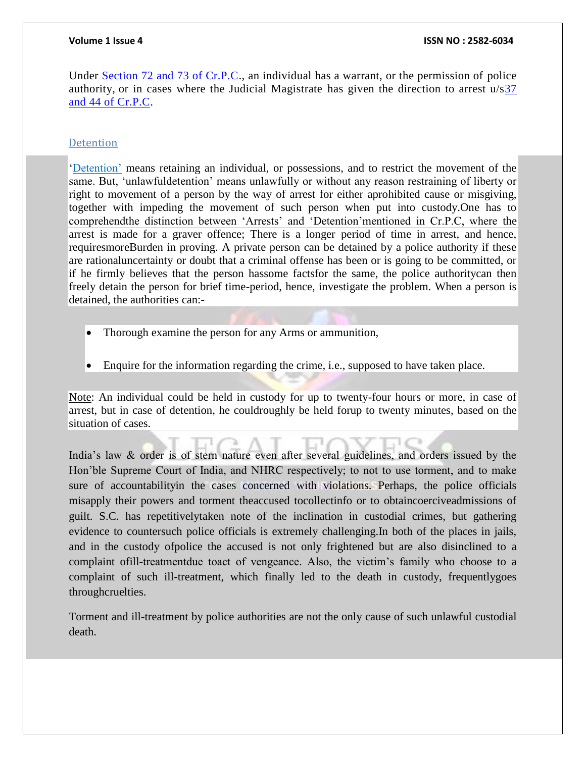### **Volume 1 Issue 4 ISSN NO : 2582-6034**

Under [Section 72 and 73 of Cr.P.C.](https://www.indiacode.nic.in/handle/123456789/1611?view_type=search&sam_handle=123456789/1362), an individual has a warrant, or the permission of police authority, or in cases where the Judicial Magistrate has given the direction to arrest  $u/s37$ [and 44 of Cr.P.C.](https://www.indiacode.nic.in/handle/123456789/1611?view_type=search&sam_handle=123456789/1362)

### Detention

['Detention'](https://legal-dictionary.thefreedictionary.com/detention) means retaining an individual, or possessions, and to restrict the movement of the same. But, 'unlawfuldetention' means unlawfully or without any reason restraining of liberty or right to movement of a person by the way of arrest for either aprohibited cause or misgiving, together with impeding the movement of such person when put into custody.One has to comprehendthe distinction between 'Arrests' and 'Detention'mentioned in Cr.P.C, where the arrest is made for a graver offence; There is a longer period of time in arrest, and hence, requiresmoreBurden in proving. A private person can be detained by a police authority if these are rationaluncertainty or doubt that a criminal offense has been or is going to be committed, or if he firmly believes that the person hassome factsfor the same, the police authoritycan then freely detain the person for brief time-period, hence, investigate the problem. When a person is detained, the authorities can:-

- Thorough examine the person for any Arms or ammunition,
- Enquire for the information regarding the crime, i.e., supposed to have taken place.

Note: An individual could be held in custody for up to twenty-four hours or more, in case of arrest, but in case of detention, he couldroughly be held forup to twenty minutes, based on the situation of cases.

India's law & order is of stern nature even after several guidelines, and orders issued by the Hon'ble Supreme Court of India, and NHRC respectively; to not to use torment, and to make sure of accountabilityin the cases concerned with violations. Perhaps, the police officials misapply their powers and torment theaccused tocollectinfo or to obtaincoerciveadmissions of guilt. S.C. has repetitivelytaken note of the inclination in custodial crimes, but gathering evidence to countersuch police officials is extremely challenging.In both of the places in jails, and in the custody ofpolice the accused is not only frightened but are also disinclined to a complaint ofill-treatmentdue toact of vengeance. Also, the victim's family who choose to a complaint of such ill-treatment, which finally led to the death in custody, frequentlygoes throughcruelties.

Torment and ill-treatment by police authorities are not the only cause of such unlawful custodial death.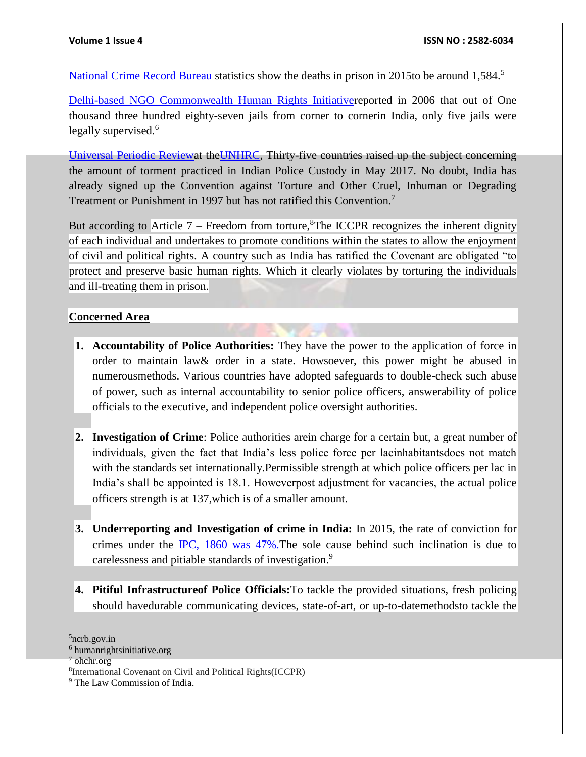[National Crime Record Bureau](https://ncrb.gov.in/) statistics show the deaths in prison in 2015to be around 1,584.<sup>5</sup>

[Delhi-based NGO Commonwealth Human Rights Initiativer](https://www.humanrightsinitiative.org/)eported in 2006 that out of One thousand three hundred eighty-seven jails from corner to cornerin India, only five jails were legally supervised.<sup>6</sup>

[Universal Periodic Reviewa](https://www.ohchr.org/en/hrbodies/upr/pages/uprmain.aspx#:~:text=The%20Universal%20Periodic%20Review%20(UPR,of%20all%20UN%20Member%20States.&text=As%20one%20of%20the%20main,human%20rights%20situations%20are%20assessed.)t th[eUNHRC,](https://www.ohchr.org/en/hrbodies/hrc/pages/home.aspx) Thirty-five countries raised up the subject concerning the amount of torment practiced in Indian Police Custody in May 2017. No doubt, India has already signed up the Convention against Torture and Other Cruel, Inhuman or Degrading Treatment or Punishment in 1997 but has not ratified this Convention.<sup>7</sup>

But according to Article 7 – Freedom from torture, ${}^{8}$ The ICCPR recognizes the inherent dignity of each individual and undertakes to promote conditions within the states to allow the enjoyment of civil and political rights. A country such as India has ratified the Covenant are obligated "to protect and preserve basic human rights. Which it clearly violates by torturing the individuals and ill-treating them in prison.

### **Concerned Area**

- **1. Accountability of Police Authorities:** They have the power to the application of force in order to maintain law& order in a state. Howsoever, this power might be abused in numerousmethods. Various countries have adopted safeguards to double-check such abuse of power, such as internal accountability to senior police officers, answerability of police officials to the executive, and independent police oversight authorities.
- **2. Investigation of Crime**: Police authorities arein charge for a certain but, a great number of individuals, given the fact that India's less police force per lacinhabitantsdoes not match with the standards set internationally.Permissible strength at which police officers per lac in India's shall be appointed is 18.1. Howeverpost adjustment for vacancies, the actual police officers strength is at 137,which is of a smaller amount.
- **3. Underreporting and Investigation of crime in India:** In 2015, the rate of conviction for crimes under the [IPC, 1860 was 47%.T](https://www.prsindia.org/policy/discussion-papers/police-reforms-india#:~:text=In%202015%2C%20convictions%20were%20secured,the%20Indian%20Penal%20Code%2C%201860.)he sole cause behind such inclination is due to carelessness and pitiable standards of investigation.<sup>9</sup>
- **4. Pitiful Infrastructureof Police Officials:**To tackle the provided situations, fresh policing should havedurable communicating devices, state-of-art, or up-to-datemethodsto tackle the

<sup>5</sup>ncrb.gov.in

<sup>6</sup> humanrightsinitiative.org

<sup>7</sup> ohchr.org

<sup>8</sup> International Covenant on Civil and Political Rights(ICCPR)

<sup>&</sup>lt;sup>9</sup> The Law Commission of India.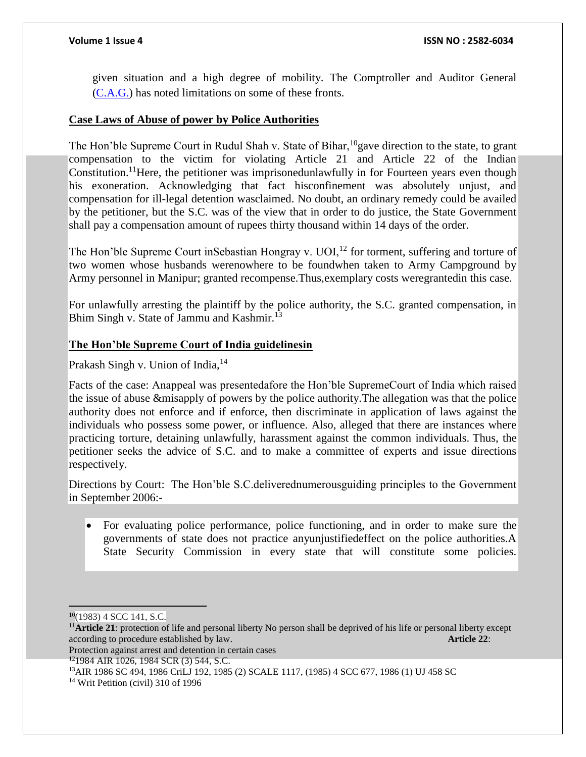given situation and a high degree of mobility. The Comptroller and Auditor General [\(C.A.G.\)](https://cag.gov.in/) has noted limitations on some of these fronts.

### **Case Laws of Abuse of power by Police Authorities**

The Hon'ble Supreme Court in Rudul Shah v. State of Bihar, <sup>10</sup>gave direction to the state, to grant compensation to the victim for violating Article 21 and Article 22 of the Indian Constitution.<sup>11</sup>Here, the petitioner was imprisonedunlawfully in for Fourteen years even though his exoneration. Acknowledging that fact hisconfinement was absolutely unjust, and compensation for ill-legal detention wasclaimed. No doubt, an ordinary remedy could be availed by the petitioner, but the S.C. was of the view that in order to do justice, the State Government shall pay a compensation amount of rupees thirty thousand within 14 days of the order.

The Hon'ble Supreme Court inSebastian Hongray v. UOI,<sup>12</sup> for torment, suffering and torture of two women whose husbands werenowhere to be foundwhen taken to Army Campground by Army personnel in Manipur; granted recompense.Thus,exemplary costs weregrantedin this case.

For unlawfully arresting the plaintiff by the police authority, the S.C. granted compensation, in Bhim Singh v. State of Jammu and Kashmir.<sup>13</sup>

## **The Hon'ble Supreme Court of India guidelinesin**

Prakash Singh v. Union of India,<sup>14</sup>

Facts of the case: Anappeal was presentedafore the Hon'ble SupremeCourt of India which raised the issue of abuse &misapply of powers by the police authority.The allegation was that the police authority does not enforce and if enforce, then discriminate in application of laws against the individuals who possess some power, or influence. Also, alleged that there are instances where practicing torture, detaining unlawfully, harassment against the common individuals. Thus, the petitioner seeks the advice of S.C. and to make a committee of experts and issue directions respectively.

Directions by Court: The Hon'ble S.C.deliverednumerousguiding principles to the Government in September 2006:-

 For evaluating police performance, police functioning, and in order to make sure the governments of state does not practice anyunjustifiedeffect on the police authorities.A State Security Commission in every state that will constitute some policies.

 $\overline{a}$  $10(1983)$  4 SCC 141, S.C.

<sup>11</sup>**Article 21**: protection of life and personal liberty No person shall be deprived of his life or personal liberty except according to procedure established by law. **Article 22**:

Protection against arrest and detention in certain cases

<sup>12</sup>1984 AIR 1026, 1984 SCR (3) 544, S.C.

<sup>13</sup>AIR 1986 SC 494, 1986 CriLJ 192, 1985 (2) SCALE 1117, (1985) 4 SCC 677, 1986 (1) UJ 458 SC

<sup>&</sup>lt;sup>14</sup> Writ Petition (civil) 310 of 1996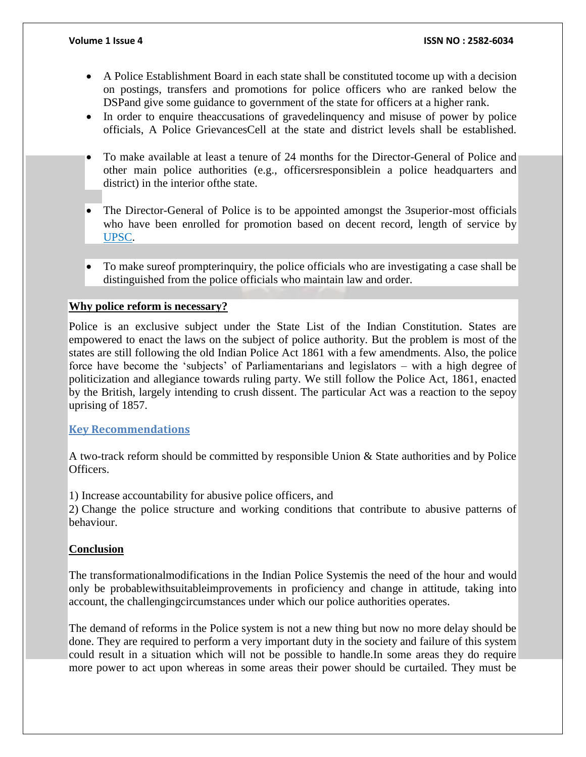- A Police Establishment Board in each state shall be constituted tocome up with a decision on postings, transfers and promotions for police officers who are ranked below the DSPand give some guidance to government of the state for officers at a higher rank.
- In order to enquire theaccusations of gravedelinguency and misuse of power by police officials, A Police GrievancesCell at the state and district levels shall be established.
- To make available at least a tenure of 24 months for the Director-General of Police and other main police authorities (e.g., officersresponsiblein a police headquarters and district) in the interior ofthe state.
- The Director-General of Police is to be appointed amongst the 3superior-most officials who have been enrolled for promotion based on decent record, length of service by [UPSC.](https://www.upsc.gov.in/)
- To make sureof prompterinquiry, the police officials who are investigating a case shall be distinguished from the police officials who maintain law and order.

## **Why police reform is necessary?**

Police is an exclusive subject under the State List of the Indian Constitution. States are empowered to enact the laws on the subject of police authority. But the problem is most of the states are still following the old Indian Police Act 1861 with a few amendments. Also, the police force have become the 'subjects' of Parliamentarians and legislators – with a high degree of politicization and allegiance towards ruling party. We still follow the Police Act, 1861, enacted by the British, largely intending to crush dissent. The particular Act was a reaction to the sepoy uprising of 1857.

### **Key Recommendations**

A two-track reform should be committed by responsible Union & State authorities and by Police Officers.

1) Increase accountability for abusive police officers, and

2) Change the police structure and working conditions that contribute to abusive patterns of behaviour.

## **Conclusion**

The transformationalmodifications in the Indian Police Systemis the need of the hour and would only be probablewithsuitableimprovements in proficiency and change in attitude, taking into account, the challengingcircumstances under which our police authorities operates.

The demand of reforms in the Police system is not a new thing but now no more delay should be done. They are required to perform a very important duty in the society and failure of this system could result in a situation which will not be possible to handle.In some areas they do require more power to act upon whereas in some areas their power should be curtailed. They must be